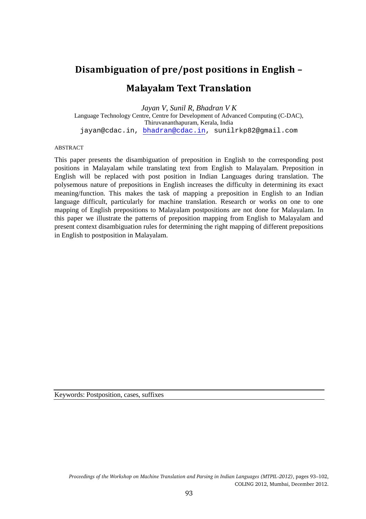# Disambiguation of pre/post positions in English –

# Malayalam Text Translation

*Jayan V, Sunil R, Bhadran V K*  Language Technology Centre, Centre for Development of Advanced Computing (C-DAC), Thiruvananthapuram, Kerala, India jayan@cdac.in, bhadran@cdac.in, sunilrkp82@gmail.com

#### ABSTRACT

This paper presents the disambiguation of preposition in English to the corresponding post positions in Malayalam while translating text from English to Malayalam. Preposition in English will be replaced with post position in Indian Languages during translation. The polysemous nature of prepositions in English increases the difficulty in determining its exact meaning/function. This makes the task of mapping a preposition in English to an Indian language difficult, particularly for machine translation. Research or works on one to one mapping of English prepositions to Malayalam postpositions are not done for Malayalam. In this paper we illustrate the patterns of preposition mapping from English to Malayalam and present context disambiguation rules for determining the right mapping of different prepositions in English to postposition in Malayalam.

Keywords: Postposition, cases, suffixes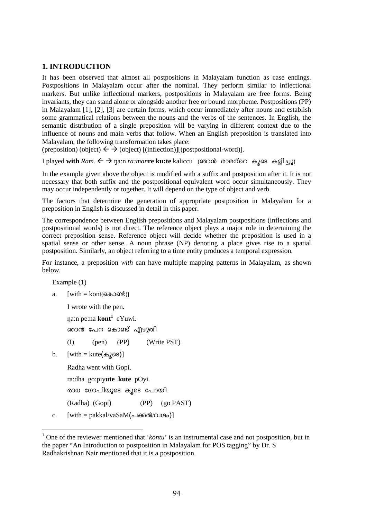### **1. INTRODUCTION**

It has been observed that almost all postpositions in Malayalam function as case endings. Postpositions in Malayalam occur after the nominal. They perform similar to inflectional markers. But unlike inflectional markers, postpositions in Malayalam are free forms. Being invariants, they can stand alone or alongside another free or bound morpheme. Postpositions (PP) in Malayalam [1], [2], [3] are certain forms, which occur immediately after nouns and establish some grammatical relations between the nouns and the verbs of the sentences. In English, the semantic distribution of a single preposition will be varying in different context due to the influence of nouns and main verbs that follow. When an English preposition is translated into Malayalam, the following transformation takes place:

 $(p$ reposition) (object)  $\leftarrow \rightarrow$  (object) [(inflection)][(postpositional-word)].

I played **with**  $Ram.$  ←  $\rightarrow$   $\eta$ a:n  $ra:man$ **re ku:te** kaliccu (ഞാൻ രാമന്റെ കൂടെ കളിച്ചു)

In the example given above the object is modified with a suffix and postposition after it. It is not necessary that both suffix and the postpositional equivalent word occur simultaneously. They may occur independently or together. It will depend on the type of object and verb.

The factors that determine the generation of appropriate postposition in Malayalam for a preposition in English is discussed in detail in this paper.

The correspondence between English prepositions and Malayalam postpositions (inflections and postpositional words) is not direct. The reference object plays a major role in determining the correct preposition sense. Reference object will decide whether the preposition is used in a spatial sense or other sense. A noun phrase (NP) denoting a place gives rise to a spatial postposition. Similarly, an object referring to a time entity produces a temporal expression.

For instance, a preposition *with* can have multiple mapping patterns in Malayalam, as shown below.

Example (1)

a. [with = kont(കൊണ്ട്)]

I wrote with the pen.

ŋa:n pe:na **kont<sup>1</sup>** eYuwi.

ഞാൻ പേന കൊണ്ട പ്യ)ഴുത1

(I) (pen) (PP) (Write PST)

b.  $[with = kute(\omega_{\lambda}) \infty)$ 

```
Radha went with Gopi.
```
ra:dha go:piy**ute kute** pOyi.

രാധ ഗോപിയുടെ കൂടെ പോയി

(Radha) (Gopi) (PP) (go PAST)

c.  $[with = pakkal/vaSaM(\triangle A\omega\omega\omega)]$ 

<sup>&</sup>lt;sup>1</sup> One of the reviewer mentioned that '*kontu*' is an instrumental case and not postposition, but in the paper "An Introduction to postposition in Malayalam for POS tagging" by Dr. S Radhakrishnan Nair mentioned that it is a postposition.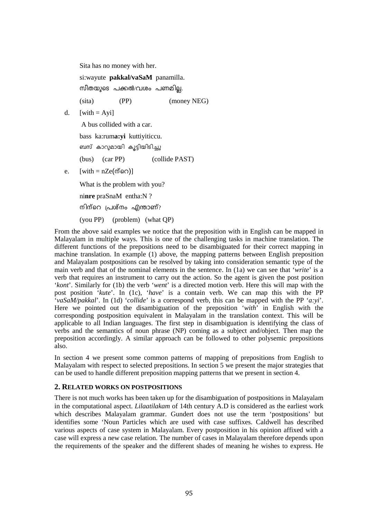Sita has no money with her.

si:wayute **pakkal/vaSaM** panamilla.  $\omega$  സീതയുടെ പക്കൽ/വശം പണമില്ല.

(sita) (PP) (money NEG)

d.  $[with = Ayi]$ 

A bus collided with a car.

bass ka:rum**a:yi** kuttiyiticcu.

ബസ കാറുമായി കൂട്ടിയിടിച്ചു

- (bus) (car PP) (collide PAST)
- e.  $[with = nZe(\phi\sin\theta)]$

What is the problem with you?

ni**nre** praSnaM entha:N ?

നിന്റെ പ്രശ്നം എന്താണ്?

(you PP) (problem) (what QP)

From the above said examples we notice that the preposition with in English can be mapped in Malayalam in multiple ways. This is one of the challenging tasks in machine translation. The different functions of the prepositions need to be disambiguated for their correct mapping in machine translation. In example (1) above, the mapping patterns between English preposition and Malayalam postpositions can be resolved by taking into consideration semantic type of the main verb and that of the nominal elements in the sentence. In (1a) we can see that '*write*' is a verb that requires an instrument to carry out the action. So the agent is given the post position '*kont*'. Similarly for (1b) the verb '*went*' is a directed motion verb. Here this will map with the post position '*kute*'. In (1c), '*have*' is a contain verb. We can map this with the PP '*vaSaM/pakkal*'. In (1d) '*collide*' is a correspond verb, this can be mapped with the PP '*a:yi*'. Here we pointed out the disambiguation of the preposition '*with*' in English with the corresponding postposition equivalent in Malayalam in the translation context. This will be applicable to all Indian languages. The first step in disambiguation is identifying the class of verbs and the semantics of noun phrase (NP) coming as a subject and/object. Then map the preposition accordingly. A similar approach can be followed to other polysemic prepositions also.

In section 4 we present some common patterns of mapping of prepositions from English to Malayalam with respect to selected prepositions. In section 5 we present the major strategies that can be used to handle different preposition mapping patterns that we present in section 4.

#### **2. RELATED WORKS ON POSTPOSITIONS**

There is not much works has been taken up for the disambiguation of postpositions in Malayalam in the computational aspect. *Lilaatilakam* of 14th century A.D is considered as the earliest work which describes Malayalam grammar. Gundert does not use the term 'postpositions' but identifies some 'Noun Particles which are used with case suffixes. Caldwell has described various aspects of case system in Malayalam. Every postposition in his opinion affixed with a case will express a new case relation. The number of cases in Malayalam therefore depends upon the requirements of the speaker and the different shades of meaning he wishes to express. He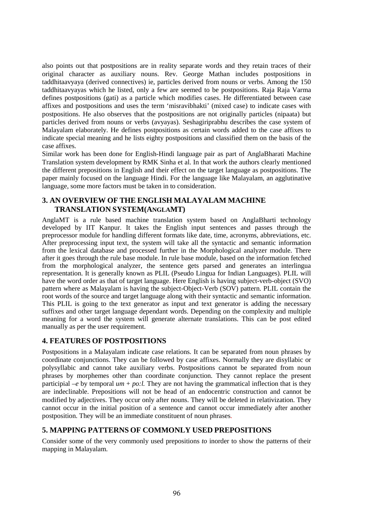also points out that postpositions are in reality separate words and they retain traces of their original character as auxiliary nouns. Rev. George Mathan includes postpositions in taddhitaavyaya (derived connectives) ie, particles derived from nouns or verbs. Among the 150 taddhitaavyayas which he listed, only a few are seemed to be postpositions. Raja Raja Varma defines postpositions (gati) as a particle which modifies cases. He differentiated between case affixes and postpositions and uses the term 'misravibhakti' (mixed case) to indicate cases with postpositions. He also observes that the postpositions are not originally particles (nipaata) but particles derived from nouns or verbs (avyayas). Seshagiriprabhu describes the case system of Malayalam elaborately. He defines postpositions as certain words added to the case affixes to indicate special meaning and he lists eighty postpositions and classified them on the basis of the case affixes.

Similar work has been done for English-Hindi language pair as part of AnglaBharati Machine Translation system development by RMK Sinha et al. In that work the authors clearly mentioned the different prepositions in English and their effect on the target language as postpositions. The paper mainly focused on the language Hindi. For the language like Malayalam, an agglutinative language, some more factors must be taken in to consideration.

### **3. AN OVERVIEW OF THE ENGLISH MALAYALAM MACHINE TRANSLATION SYSTEM(ANGLAMT)**

AnglaMT is a rule based machine translation system based on AnglaBharti technology developed by IIT Kanpur. It takes the English input sentences and passes through the preprocessor module for handling different formats like date, time, acronyms, abbreviations, etc. After preprocessing input text, the system will take all the syntactic and semantic information from the lexical database and processed further in the Morphological analyzer module. There after it goes through the rule base module. In rule base module, based on the information fetched from the morphological analyzer, the sentence gets parsed and generates an interlingua representation. It is generally known as PLIL (Pseudo Lingua for Indian Languages). PLIL will have the word order as that of target language. Here English is having subject-verb-object (SVO) pattern where as Malayalam is having the subject-Object-Verb (SOV) pattern. PLIL contain the root words of the source and target language along with their syntactic and semantic information. This PLIL is going to the text generator as input and text generator is adding the necessary suffixes and other target language dependant words. Depending on the complexity and multiple meaning for a word the system will generate alternate translations. This can be post edited manually as per the user requirement.

#### **4. FEATURES OF POSTPOSITIONS**

Postpositions in a Malayalam indicate case relations. It can be separated from noun phrases by coordinate conjunctions. They can be followed by case affixes. Normally they are disyllabic or polysyllabic and cannot take auxiliary verbs. Postpositions cannot be separated from noun phrases by morphemes other than coordinate conjunction. They cannot replace the present participial  $-e$  by temporal  $um + po:l$ . They are not having the grammatical inflection that is they are indeclinable. Prepositions will not be head of an endocentric construction and cannot be modified by adjectives. They occur only after nouns. They will be deleted in relativization. They cannot occur in the initial position of a sentence and cannot occur immediately after another postposition. They will be an immediate constituent of noun phrases.

#### **5. MAPPING PATTERNS OF COMMONLY USED PREPOSITIONS**

Consider some of the very commonly used prepositions *to* inorder to show the patterns of their mapping in Malayalam.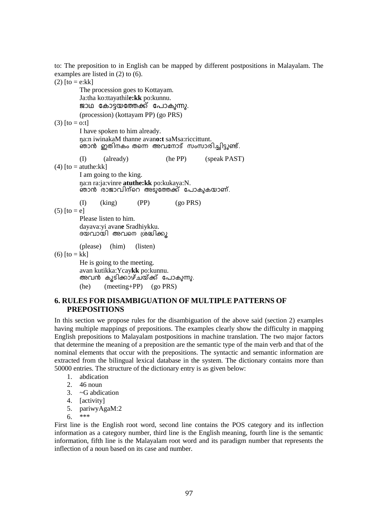to: The preposition to in English can be mapped by different postpositions in Malayalam. The examples are listed in (2) to (6).

 $(2)$  [to = e:kk] The procession goes to Kottayam. Ja:tha ko:ttayathil**e:kk** po:kunnu. ജാഥ കോട്ടയത്തേക്ക് പോകുന്നു. (procession) (kottayam PP) (go PRS) (3)  $[to = 0: t]$  I have spoken to him already. ŋa:n iwinakaM thanne avan**o:t** saMsa:riccittunt. ഞാൻ ഇത1നകം തന്നെ അവനോട് സംസാര1ച്ച1ട്ടുണ്ട. (I) (already) (he PP) (speak PAST)  $(4)$  [to = atuthe:kk] I am going to the king. ŋa:n ra:ja:vinre **atuthe:kk** po:kukaya:N. ഞാനു രാജാവ്വനറെ അടുത്തേക്ക പോകുകയാണ. (I) (king) (PP) (go PRS)  $(5)$  [to = e] Please listen to him. dayava:yi avan**e** Sradhiykku. ദയവായ⊺ അവനെ ശ്രദ്ധ।ക്കൂ (please) (him) (listen) (6)  $[to = kk]$  He is going to the meeting. avan kutikka:Ycay**kk** po:kunnu. അവനു കൂടിക്കാഴചയക്ക പോകുന്നു. (he) (meeting+PP) (go PRS)

#### **6. RULES FOR DISAMBIGUATION OF MULTIPLE PATTERNS OF PREPOSITIONS**

In this section we propose rules for the disambiguation of the above said (section 2) examples having multiple mappings of prepositions. The examples clearly show the difficulty in mapping English prepositions to Malayalam postpositions in machine translation. The two major factors that determine the meaning of a preposition are the semantic type of the main verb and that of the nominal elements that occur with the prepositions. The syntactic and semantic information are extracted from the bilingual lexical database in the system. The dictionary contains more than 50000 entries. The structure of the dictionary entry is as given below:

- 1. abdication
- $2.46$  noun
- 3. ~G abdication
- 4. [activity]
- 5. pariwyAgaM:2
- 6. \*\*\*

First line is the English root word, second line contains the POS category and its inflection information as a category number, third line is the English meaning, fourth line is the semantic information, fifth line is the Malayalam root word and its paradigm number that represents the inflection of a noun based on its case and number.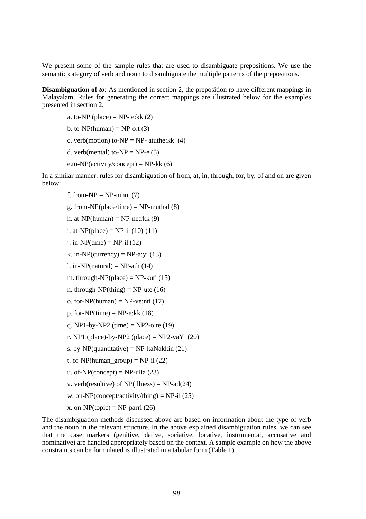We present some of the sample rules that are used to disambiguate prepositions. We use the semantic category of verb and noun to disambiguate the multiple patterns of the prepositions.

**Disambiguation of to:** As mentioned in section 2, the preposition to have different mappings in Malayalam. Rules for generating the correct mappings are illustrated below for the examples presented in section 2.

a. to-NP (place) = NP- e: $kk(2)$ b. to-NP(human) =  $NP$ -o:t (3) c. verb(motion) to-NP = NP- atuthe: $kk(4)$ 

d. verb(mental) to-NP = NP-e  $(5)$ 

e.to-NP(activity/concept) = NP-kk  $(6)$ 

In a similar manner, rules for disambiguation of from, at, in, through, for, by, of and on are given below:

f. from- $NP = NP$ -ninn (7)

g. from-NP(place/time) = NP-muthal 
$$
(8)
$$

- h. at-NP(human) = NP-ne:rkk  $(9)$
- i. at-NP(place) = NP-il  $(10)-(11)$
- i. in-NP(time) =  $NP$ -il (12)
- k. in-NP(currency) = NP-a:yi  $(13)$
- l. in-NP(natural) = NP-ath  $(14)$
- m. through-NP(place) = NP-kuti  $(15)$
- n. through-NP(thing) = NP-ute  $(16)$
- o. for-NP(human) = NP-ve:nti  $(17)$
- p. for-NP(time) = NP-e: $kk(18)$
- q. NP1-by-NP2 (time) = NP2-o:te  $(19)$
- r. NP1 (place)-by-NP2 (place) = NP2-vaYi  $(20)$
- s. by-NP(quantitative) = NP-kaNakkin  $(21)$
- t. of-NP(human\_group) = NP-il  $(22)$
- u. of-NP(concept) = NP-ulla  $(23)$
- v. verb(resultive) of NP(illness) = NP-a:l(24)
- w. on-NP(concept/activity/thing) = NP-il  $(25)$
- x. on-NP(topic) = NP-parri  $(26)$

The disambiguation methods discussed above are based on information about the type of verb and the noun in the relevant structure. In the above explained disambiguation rules, we can see that the case markers (genitive, dative, sociative, locative, instrumental, accusative and nominative) are handled appropriately based on the context. A sample example on how the above constraints can be formulated is illustrated in a tabular form (Table 1).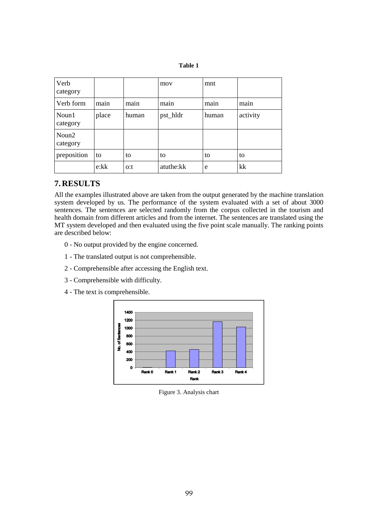| Verb<br>category  |       |       | mov       | mnt   |          |
|-------------------|-------|-------|-----------|-------|----------|
| Verb form         | main  | main  | main      | main  | main     |
| Noun1<br>category | place | human | pst_hldr  | human | activity |
| Noun2<br>category |       |       |           |       |          |
| preposition       | to    | to    | to        | to    | to       |
|                   | e:kk  | o:t   | atuthe:kk | e     | kk       |

# **7. RESULTS**

All the examples illustrated above are taken from the output generated by the machine translation system developed by us. The performance of the system evaluated with a set of about 3000 sentences. The sentences are selected randomly from the corpus collected in the tourism and health domain from different articles and from the internet. The sentences are translated using the MT system developed and then evaluated using the five point scale manually. The ranking points are described below:

- 0 No output provided by the engine concerned.
- 1 The translated output is not comprehensible.
- 2 Comprehensible after accessing the English text.
- 3 Comprehensible with difficulty.
- 4 The text is comprehensible.



Figure 3. Analysis chart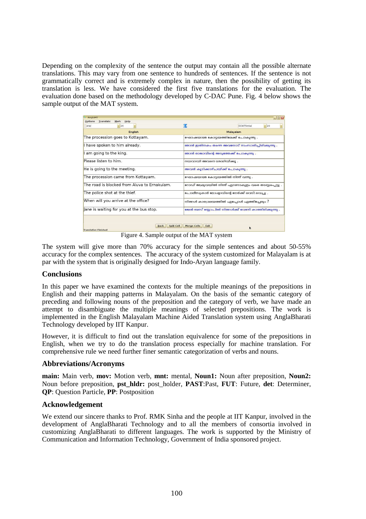Depending on the complexity of the sentence the output may contain all the possible alternate translations. This may vary from one sentence to hundreds of sentences. If the sentence is not grammatically correct and is extremely complex in nature, then the possibility of getting its translation is less. We have considered the first five translations for the evaluation. The evaluation done based on the methodology developed by C-DAC Pune. Fig. 4 below shows the sample output of the MAT system.

| AnglaMT<br>Translate<br>Mark<br>Help<br>Options | $ \Box$ $\times$                                   |  |  |  |
|-------------------------------------------------|----------------------------------------------------|--|--|--|
| $~\vee$ 24<br>Arial                             | 定<br>$\sqrt{20}$<br>FCWThinkel                     |  |  |  |
| <b>English</b>                                  | Malayalam                                          |  |  |  |
| The procession goes to Kottayam.                | ഘോഷയാത്ര കോട്ടയത്തിലേക്ക് പോകുന്നു .               |  |  |  |
| I have spoken to him already.                   | ഞാൻ ജതിനകം തന്നെ അവനോട് സംസാരിചിരിക്കുന്നു .       |  |  |  |
| am going to the king.                           | ഞാൻ രാജാവിന്റെ അടുത്തേക്ക് പോകുന്നു .              |  |  |  |
| Please listen to him.                           | റന്മവാന്മി അവനെ ശ്രദ്ധിന്മ്ക്കു .                  |  |  |  |
| He is going to the meeting.                     | അവൻ കൂടിക്കാഴ്ചയ്ക്ക് പോകുന്നു .                   |  |  |  |
| The procession came from Kottayam.              | ഘോഷയാത്ര കോട്ടയത്തിൽ നിന്ന് വന്നു .                |  |  |  |
| The road is blocked from Aluva to Ernakulam.    | റോഡ് ആലുവയിൽ നിന്ന് എറണാകുളം വരെ തടസ്പപ്പെട്ടു     |  |  |  |
| The police shot at the thief.                   | പോലീസുകാർ മോഷ്ഠാവിന്റെ നേർക്ക് രവടി രവച്ചു .       |  |  |  |
| When will you arrive at the office?             | നിങ്ങൾ കാര്യാലയത്തിൽ എപ്പോൾ എത്തിച്ചേരും ?         |  |  |  |
| Jane is waiting for you at the bus stop.        | ജേൻ ബസ് സോപിൽ നിങ്ങൾക്ക് വേണ്ടി കാത്തിരിക്കുന്നു . |  |  |  |
|                                                 |                                                    |  |  |  |
| <b>Back</b><br><b>Translation Finished</b>      | Split Cell<br>Merge Cells<br>Exit<br>k             |  |  |  |

Figure 4. Sample output of the MAT system

The system will give more than 70% accuracy for the simple sentences and about 50-55% accuracy for the complex sentences. The accuracy of the system customized for Malayalam is at par with the system that is originally designed for Indo-Aryan language family.

#### **Conclusions**

In this paper we have examined the contexts for the multiple meanings of the prepositions in English and their mapping patterns in Malayalam. On the basis of the semantic category of preceding and following nouns of the preposition and the category of verb, we have made an attempt to disambiguate the multiple meanings of selected prepositions. The work is implemented in the English Malayalam Machine Aided Translation system using AnglaBharati Technology developed by IIT Kanpur.

However, it is difficult to find out the translation equivalence for some of the prepositions in English, when we try to do the translation process especially for machine translation. For comprehensive rule we need further finer semantic categorization of verbs and nouns.

### **Abbreviations/Acronyms**

**main:** Main verb, **mov:** Motion verb, **mnt:** mental, **Noun1:** Noun after preposition, **Noun2:** Noun before preposition, **pst\_hldr:** post\_holder, **PAST**:Past, **FUT**: Future, **det**: Determiner, **QP**: Question Particle, **PP**: Postposition

#### **Acknowledgement**

We extend our sincere thanks to Prof. RMK Sinha and the people at IIT Kanpur, involved in the development of AnglaBharati Technology and to all the members of consortia involved in customizing AnglaBharati to different languages. The work is supported by the Ministry of Communication and Information Technology, Government of India sponsored project.